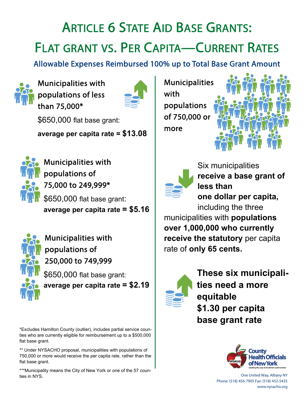# ARTICLE 6 STATE AID BASE GRANTS: FLAT GRANT VS. PER CAPITA—CURRENT RATES

Allowable Expenses Reimbursed 100% up to Total Base Grant Amount



Municipalities with populations of less than 75,000\*



\$650,000 flat base grant:

**average per capita rate = \$13.08**



Municipalities with populations of 75,000 to 249,999\* \$650,000 flat base grant:

**average per capita rate = \$5.16**



Municipalities with populations of 250,000 to 749,999

\$650,000 flat base grant: **average per capita rate = \$2.19**

\*Excludes Hamilton County (outlier), includes partial service counties who are currently eligible for reimbursement up to a \$500,000 flat base grant.

\*\* Under NYSACHO proposal, municipalities with populations of 750,000 or more would receive the per capita rate, rather than the flat base grant.

\*\*\*Municipality means the City of New York or one of the 57 counties in NYS.

Municipalities with populations of 750,000 or more





Six municipalities **receive a base grant of less than one dollar per capita,** 

including the three municipalities with **populations over 1,000,000 who currently receive the statutory** per capita rate of **only 65 cents.** 



**These six municipalities need a more equitable \$1.30 per capita base grant rate** 



One United Way, Albany NY Phone: (518) 456-7905 Fax: (518) 452-5435 www.nysacho.org